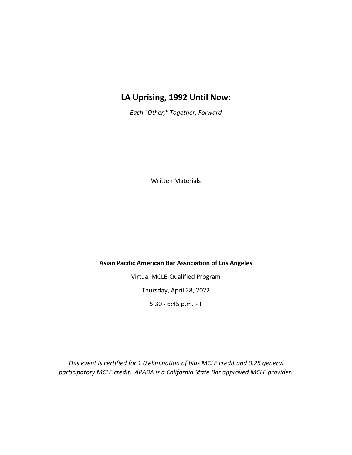# **LA Uprising, 1992 Until Now:**

*Each "Other," Together, Forward*

Written Materials

**Asian Pacific American Bar Association of Los Angeles**

Virtual MCLE‐Qualified Program Thursday, April 28, 2022

5:30 - 6:45 p.m. PT

*This event is certified for 1.0 elimination of bias MCLE credit and 0.25 general participatory MCLE credit. APABA is a California State Bar approved MCLE provider.*